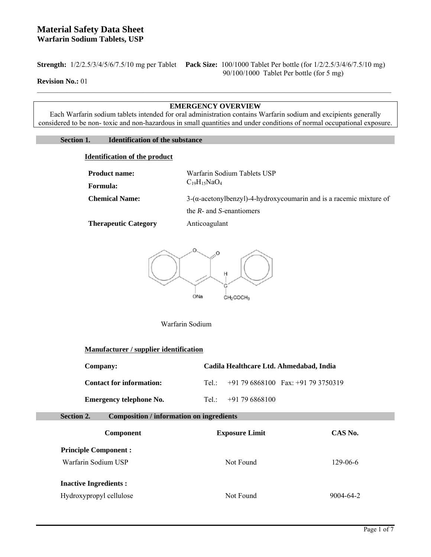**Strength:** 1/2/2.5/3/4/5/6/7.5/10 mg per Tablet **Pack Size:** 100/1000 Tablet Per bottle (for 1/2/2.5/3/4/6/7.5/10 mg) 90/100/1000 Tablet Per bottle (for 5 mg)

## **Revision No.:** 01

## **EMERGENCY OVERVIEW**

Each Warfarin sodium tablets intended for oral administration contains Warfarin sodium and excipients generally considered to be non- toxic and non-hazardous in small quantities and under conditions of normal occupational exposure.

## **Section 1. Identification of the substance**

### **Identification of the product**

| <b>Product name:</b>  | Warfarin Sodium Tablets USP                                                |  |
|-----------------------|----------------------------------------------------------------------------|--|
| Formula:              | $C_{19}H_{15}NaO_4$                                                        |  |
| <b>Chemical Name:</b> | $3-(\alpha$ -acetonylbenzyl)-4-hydroxycoumarin and is a racemic mixture of |  |
|                       | the $R$ - and $S$ -enantiomers                                             |  |
| Thoropoutic Category  | Antiocogulant                                                              |  |

**Therapeutic Category Anticoagulant** 



Warfarin Sodium

## **Manufacturer / supplier identification**

| Company:                        | Cadila Healthcare Ltd. Ahmedabad, India  |  |  |
|---------------------------------|------------------------------------------|--|--|
| <b>Contact for information:</b> | Tel.: $+91796868100$ Fax: $+91793750319$ |  |  |
| <b>Emergency telephone No.</b>  | Tel: $+91796868100$                      |  |  |

**Section 2. Composition / information on ingredients** 

| Component                    | <b>Exposure Limit</b> | CAS No.        |
|------------------------------|-----------------------|----------------|
| <b>Principle Component:</b>  |                       |                |
| Warfarin Sodium USP          | Not Found             | $129 - 06 - 6$ |
| <b>Inactive Ingredients:</b> |                       |                |
| Hydroxypropyl cellulose      | Not Found             | 9004-64-2      |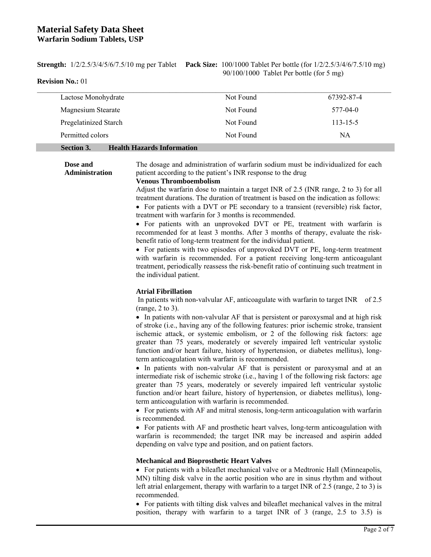# **Material Safety Data Sheet Warfarin Sodium Tablets, USP**

**Strength:** 1/2/2.5/3/4/5/6/7.5/10 mg per Tablet **Pack Size:** 100/1000 Tablet Per bottle (for 1/2/2.5/3/4/6/7.5/10 mg) 90/100/1000 Tablet Per bottle (for 5 mg)

**Revision No.:** 01

| Lactose Monohydrate                                    | Not Found | 67392-87-4     |
|--------------------------------------------------------|-----------|----------------|
| Magnesium Stearate                                     | Not Found | 577-04-0       |
| Pregelatinized Starch                                  | Not Found | $113 - 15 - 5$ |
| Permitted colors                                       | Not Found | NA             |
| <b>Health Hazards Information</b><br><b>Section 3.</b> |           |                |

**Dose and Administration**  The dosage and administration of warfarin sodium must be individualized for each patient according to the patient's INR response to the drug

#### **Venous Thromboembolism**

Adjust the warfarin dose to maintain a target INR of 2.5 (INR range, 2 to 3) for all treatment durations. The duration of treatment is based on the indication as follows:

• For patients with a DVT or PE secondary to a transient (reversible) risk factor, treatment with warfarin for 3 months is recommended.

 For patients with an unprovoked DVT or PE, treatment with warfarin is recommended for at least 3 months. After 3 months of therapy, evaluate the riskbenefit ratio of long-term treatment for the individual patient.

• For patients with two episodes of unprovoked DVT or PE, long-term treatment with warfarin is recommended. For a patient receiving long-term anticoagulant treatment, periodically reassess the risk-benefit ratio of continuing such treatment in the individual patient.

### **Atrial Fibrillation**

 In patients with non-valvular AF, anticoagulate with warfarin to target INR of 2.5 (range, 2 to 3).

 In patients with non-valvular AF that is persistent or paroxysmal and at high risk of stroke (i.e., having any of the following features: prior ischemic stroke, transient ischemic attack, or systemic embolism, or 2 of the following risk factors: age greater than 75 years, moderately or severely impaired left ventricular systolic function and/or heart failure, history of hypertension, or diabetes mellitus), longterm anticoagulation with warfarin is recommended.

• In patients with non-valvular AF that is persistent or paroxysmal and at an intermediate risk of ischemic stroke (i.e., having 1 of the following risk factors: age greater than 75 years, moderately or severely impaired left ventricular systolic function and/or heart failure, history of hypertension, or diabetes mellitus), longterm anticoagulation with warfarin is recommended.

 For patients with AF and mitral stenosis, long-term anticoagulation with warfarin is recommended.

 For patients with AF and prosthetic heart valves, long-term anticoagulation with warfarin is recommended; the target INR may be increased and aspirin added depending on valve type and position, and on patient factors.

### **Mechanical and Bioprosthetic Heart Valves**

 For patients with a bileaflet mechanical valve or a Medtronic Hall (Minneapolis, MN) tilting disk valve in the aortic position who are in sinus rhythm and without left atrial enlargement, therapy with warfarin to a target INR of 2.5 (range, 2 to 3) is recommended.

 For patients with tilting disk valves and bileaflet mechanical valves in the mitral position, therapy with warfarin to a target INR of 3 (range, 2.5 to 3.5) is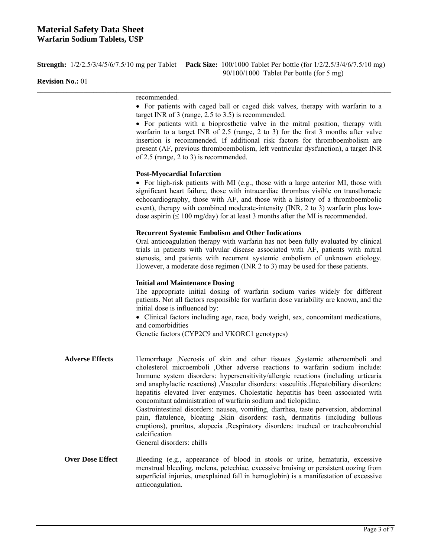|                         | <b>Strength:</b> $1/2/2.5/3/4/5/6/7.5/10$ mg per Tablet Pack Size: $100/1000$ Tablet Per bottle (for $1/2/2.5/3/4/6/7.5/10$ mg)<br>90/100/1000 Tablet Per bottle (for 5 mg)                                                                                                                                                                                                                                                                                                                                                                                                                                                                                                                                                                                                                                    |  |  |  |
|-------------------------|----------------------------------------------------------------------------------------------------------------------------------------------------------------------------------------------------------------------------------------------------------------------------------------------------------------------------------------------------------------------------------------------------------------------------------------------------------------------------------------------------------------------------------------------------------------------------------------------------------------------------------------------------------------------------------------------------------------------------------------------------------------------------------------------------------------|--|--|--|
| <b>Revision No.: 01</b> |                                                                                                                                                                                                                                                                                                                                                                                                                                                                                                                                                                                                                                                                                                                                                                                                                |  |  |  |
|                         | recommended.<br>• For patients with caged ball or caged disk valves, therapy with warfarin to a<br>target INR of $3$ (range, $2.5$ to $3.5$ ) is recommended.<br>• For patients with a bioprosthetic valve in the mitral position, therapy with<br>warfarin to a target INR of 2.5 (range, 2 to 3) for the first 3 months after valve<br>insertion is recommended. If additional risk factors for thromboembolism are<br>present (AF, previous thromboembolism, left ventricular dysfunction), a target INR<br>of 2.5 (range, 2 to 3) is recommended.                                                                                                                                                                                                                                                          |  |  |  |
|                         | <b>Post-Myocardial Infarction</b><br>• For high-risk patients with MI (e.g., those with a large anterior MI, those with<br>significant heart failure, those with intracardiac thrombus visible on transthoracic<br>echocardiography, those with AF, and those with a history of a thromboembolic<br>event), therapy with combined moderate-intensity (INR, 2 to 3) warfarin plus low-<br>dose aspirin ( $\leq 100$ mg/day) for at least 3 months after the MI is recommended.                                                                                                                                                                                                                                                                                                                                  |  |  |  |
|                         | <b>Recurrent Systemic Embolism and Other Indications</b><br>Oral anticoagulation therapy with warfarin has not been fully evaluated by clinical<br>trials in patients with valvular disease associated with AF, patients with mitral<br>stenosis, and patients with recurrent systemic embolism of unknown etiology.<br>However, a moderate dose regimen (INR 2 to 3) may be used for these patients.                                                                                                                                                                                                                                                                                                                                                                                                          |  |  |  |
|                         | <b>Initial and Maintenance Dosing</b><br>The appropriate initial dosing of warfarin sodium varies widely for different<br>patients. Not all factors responsible for warfarin dose variability are known, and the<br>initial dose is influenced by:<br>• Clinical factors including age, race, body weight, sex, concomitant medications,<br>and comorbidities<br>Genetic factors (CYP2C9 and VKORC1 genotypes)                                                                                                                                                                                                                                                                                                                                                                                                 |  |  |  |
| <b>Adverse Effects</b>  | Hemorrhage ,Necrosis of skin and other tissues ,Systemic atheroemboli and<br>cholesterol microemboli , Other adverse reactions to warfarin sodium include:<br>Immune system disorders: hypersensitivity/allergic reactions (including urticaria<br>and anaphylactic reactions), Vascular disorders: vasculitis, Hepatobiliary disorders:<br>hepatitis elevated liver enzymes. Cholestatic hepatitis has been associated with<br>concomitant administration of warfarin sodium and ticlopidine.<br>Gastrointestinal disorders: nausea, vomiting, diarrhea, taste perversion, abdominal<br>pain, flatulence, bloating ,Skin disorders: rash, dermatitis (including bullous<br>eruptions), pruritus, alopecia , Respiratory disorders: tracheal or tracheobronchial<br>calcification<br>General disorders: chills |  |  |  |
| <b>Over Dose Effect</b> | Bleeding (e.g., appearance of blood in stools or urine, hematuria, excessive<br>menstrual bleeding, melena, petechiae, excessive bruising or persistent oozing from<br>superficial injuries, unexplained fall in hemoglobin) is a manifestation of excessive                                                                                                                                                                                                                                                                                                                                                                                                                                                                                                                                                   |  |  |  |

anticoagulation.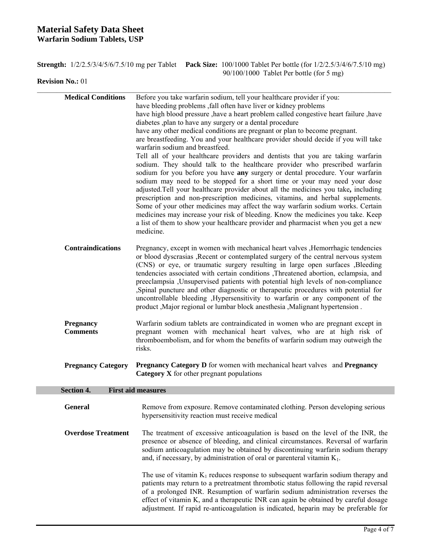# **Material Safety Data Sheet Warfarin Sodium Tablets, USP**

|  | <b>Strength:</b> $1/2/2.5/3/4/5/6/7.5/10$ mg per Tablet Pack Size: $100/1000$ Tablet Per bottle (for $1/2/2.5/3/4/6/7.5/10$ mg) |  |
|--|---------------------------------------------------------------------------------------------------------------------------------|--|
|  | $90/100/1000$ Tablet Per bottle (for 5 mg)                                                                                      |  |

**Revision No.:** 01

| have high blood pressure , have a heart problem called congestive heart failure , have                                                                                                                                                                                                                                                                                                                                                                                                                                                                                                                                                                                                                                                                                                                                                                |  |  |  |
|-------------------------------------------------------------------------------------------------------------------------------------------------------------------------------------------------------------------------------------------------------------------------------------------------------------------------------------------------------------------------------------------------------------------------------------------------------------------------------------------------------------------------------------------------------------------------------------------------------------------------------------------------------------------------------------------------------------------------------------------------------------------------------------------------------------------------------------------------------|--|--|--|
| are breastfeeding. You and your healthcare provider should decide if you will take<br>Tell all of your healthcare providers and dentists that you are taking warfarin<br>sodium. They should talk to the healthcare provider who prescribed warfarin<br>sodium for you before you have any surgery or dental procedure. Your warfarin<br>sodium may need to be stopped for a short time or your may need your dose<br>adjusted. Tell your healthcare provider about all the medicines you take, including<br>prescription and non-prescription medicines, vitamins, and herbal supplements.<br>Some of your other medicines may affect the way warfarin sodium works. Certain<br>medicines may increase your risk of bleeding. Know the medicines you take. Keep<br>a list of them to show your healthcare provider and pharmacist when you get a new |  |  |  |
| Pregnancy, except in women with mechanical heart valves , Hemorrhagic tendencies<br>or blood dyscrasias , Recent or contemplated surgery of the central nervous system<br>(CNS) or eye, or traumatic surgery resulting in large open surfaces , Bleeding<br>tendencies associated with certain conditions , Threatened abortion, eclampsia, and<br>preeclampsia , Unsupervised patients with potential high levels of non-compliance<br>,Spinal puncture and other diagnostic or therapeutic procedures with potential for<br>uncontrollable bleeding , Hypersensitivity to warfarin or any component of the<br>product , Major regional or lumbar block anesthesia , Malignant hypertension.                                                                                                                                                         |  |  |  |
| Warfarin sodium tablets are contraindicated in women who are pregnant except in<br>pregnant women with mechanical heart valves, who are at high risk of<br>thromboembolism, and for whom the benefits of warfarin sodium may outweigh the<br>risks.                                                                                                                                                                                                                                                                                                                                                                                                                                                                                                                                                                                                   |  |  |  |
| <b>Pregnancy Category</b><br><b>Pregnancy Category D</b> for women with mechanical heart valves and <b>Pregnancy</b><br>Category X for other pregnant populations                                                                                                                                                                                                                                                                                                                                                                                                                                                                                                                                                                                                                                                                                     |  |  |  |
|                                                                                                                                                                                                                                                                                                                                                                                                                                                                                                                                                                                                                                                                                                                                                                                                                                                       |  |  |  |
| Remove from exposure. Remove contaminated clothing. Person developing serious                                                                                                                                                                                                                                                                                                                                                                                                                                                                                                                                                                                                                                                                                                                                                                         |  |  |  |
| The treatment of excessive anticoagulation is based on the level of the INR, the<br>presence or absence of bleeding, and clinical circumstances. Reversal of warfarin<br>sodium anticoagulation may be obtained by discontinuing warfarin sodium therapy<br>The use of vitamin $K_1$ reduces response to subsequent warfarin sodium therapy and<br>patients may return to a pretreatment thrombotic status following the rapid reversal<br>of a prolonged INR. Resumption of warfarin sodium administration reverses the<br>effect of vitamin K, and a therapeutic INR can again be obtained by careful dosage                                                                                                                                                                                                                                        |  |  |  |
|                                                                                                                                                                                                                                                                                                                                                                                                                                                                                                                                                                                                                                                                                                                                                                                                                                                       |  |  |  |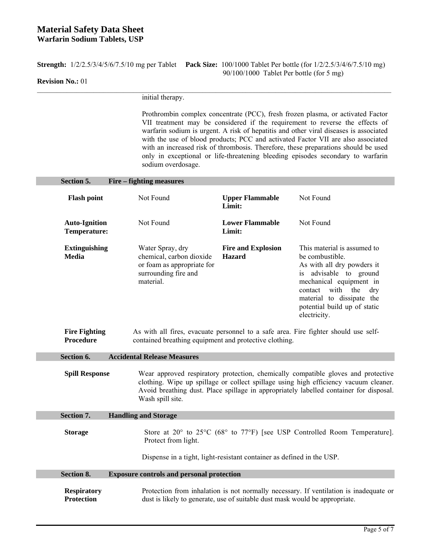# **Material Safety Data Sheet Warfarin Sodium Tablets, USP**

**Strength:** 1/2/2.5/3/4/5/6/7.5/10 mg per Tablet **Pack Size:** 100/1000 Tablet Per bottle (for 1/2/2.5/3/4/6/7.5/10 mg) 90/100/1000 Tablet Per bottle (for 5 mg)

## **Revision No.:** 01

initial therapy.

Wash spill site.

Prothrombin complex concentrate (PCC), fresh frozen plasma, or activated Factor VII treatment may be considered if the requirement to reverse the effects of warfarin sodium is urgent. A risk of hepatitis and other viral diseases is associated with the use of blood products; PCC and activated Factor VII are also associated with an increased risk of thrombosis. Therefore, these preparations should be used only in exceptional or life-threatening bleeding episodes secondary to warfarin sodium overdosage.

| Section 5.                                  | Fire – fighting measures                                                                                                                                                                                                                                                                     |                                            |                                                                                                                                                                                                                                           |
|---------------------------------------------|----------------------------------------------------------------------------------------------------------------------------------------------------------------------------------------------------------------------------------------------------------------------------------------------|--------------------------------------------|-------------------------------------------------------------------------------------------------------------------------------------------------------------------------------------------------------------------------------------------|
| <b>Flash point</b>                          | Not Found                                                                                                                                                                                                                                                                                    | <b>Upper Flammable</b><br>Limit:           | Not Found                                                                                                                                                                                                                                 |
| <b>Auto-Ignition</b><br><b>Temperature:</b> | Not Found                                                                                                                                                                                                                                                                                    | <b>Lower Flammable</b><br>Limit:           | Not Found                                                                                                                                                                                                                                 |
| <b>Extinguishing</b><br><b>Media</b>        | Water Spray, dry<br>chemical, carbon dioxide<br>or foam as appropriate for<br>surrounding fire and<br>material.                                                                                                                                                                              | <b>Fire and Explosion</b><br><b>Hazard</b> | This material is assumed to<br>be combustible.<br>As with all dry powders it<br>is advisable to ground<br>mechanical equipment in<br>contact with the<br>dry<br>material to dissipate the<br>potential build up of static<br>electricity. |
| Procedure                                   | <b>Fire Fighting</b><br>As with all fires, evacuate personnel to a safe area. Fire fighter should use self-<br>contained breathing equipment and protective clothing.                                                                                                                        |                                            |                                                                                                                                                                                                                                           |
| Section 6.                                  | <b>Accidental Release Measures</b>                                                                                                                                                                                                                                                           |                                            |                                                                                                                                                                                                                                           |
|                                             | Wear approved respiratory protection, chemically compatible gloves and protective<br><b>Spill Response</b><br>clothing. Wipe up spillage or collect spillage using high efficiency vacuum cleaner.<br>Avoid breathing dust. Place spillage in appropriately labelled container for disposal. |                                            |                                                                                                                                                                                                                                           |

**Section 7. Handling and Storage**  Storage Store at 20° to 25°C (68° to 77°F) [see USP Controlled Room Temperature]. Protect from light. Dispense in a tight, light-resistant container as defined in the USP.

**Section 8. Exposure controls and personal protection Respiratory Protection**  Protection from inhalation is not normally necessary. If ventilation is inadequate or dust is likely to generate, use of suitable dust mask would be appropriate.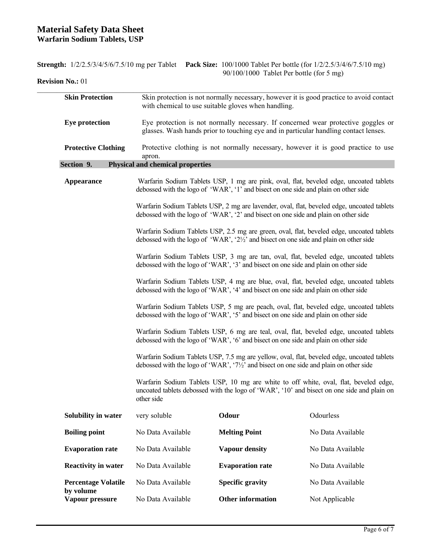**Percentage Volatile by volume** 

|                            |                                                                                                                                                                               |                       | <b>Strength:</b> $1/2/2.5/3/4/5/6/7.5/10$ mg per Tablet Pack Size: $100/1000$ Tablet Per bottle (for $1/2/2.5/3/4/6/7.5/10$ mg)<br>90/100/1000 Tablet Per bottle (for 5 mg)          |  |
|----------------------------|-------------------------------------------------------------------------------------------------------------------------------------------------------------------------------|-----------------------|--------------------------------------------------------------------------------------------------------------------------------------------------------------------------------------|--|
| <b>Revision No.: 01</b>    |                                                                                                                                                                               |                       |                                                                                                                                                                                      |  |
| <b>Skin Protection</b>     | Skin protection is not normally necessary, however it is good practice to avoid contact<br>with chemical to use suitable gloves when handling.                                |                       |                                                                                                                                                                                      |  |
| <b>Eye protection</b>      | Eye protection is not normally necessary. If concerned wear protective goggles or<br>glasses. Wash hands prior to touching eye and in particular handling contact lenses.     |                       |                                                                                                                                                                                      |  |
| <b>Protective Clothing</b> | Protective clothing is not normally necessary, however it is good practice to use<br>apron.                                                                                   |                       |                                                                                                                                                                                      |  |
| Section 9.                 | <b>Physical and chemical properties</b>                                                                                                                                       |                       |                                                                                                                                                                                      |  |
| Appearance                 | Warfarin Sodium Tablets USP, 1 mg are pink, oval, flat, beveled edge, uncoated tablets<br>debossed with the logo of 'WAR', '1' and bisect on one side and plain on other side |                       |                                                                                                                                                                                      |  |
|                            |                                                                                                                                                                               |                       | Warfarin Sodium Tablets USP, 2 mg are lavender, oval, flat, beveled edge, uncoated tablets<br>debossed with the logo of 'WAR', '2' and bisect on one side and plain on other side    |  |
|                            |                                                                                                                                                                               |                       | Warfarin Sodium Tablets USP, 2.5 mg are green, oval, flat, beveled edge, uncoated tablets<br>debossed with the logo of 'WAR', '21/2' and bisect on one side and plain on other side  |  |
|                            |                                                                                                                                                                               |                       | Warfarin Sodium Tablets USP, 3 mg are tan, oval, flat, beveled edge, uncoated tablets<br>debossed with the logo of 'WAR', '3' and bisect on one side and plain on other side         |  |
|                            |                                                                                                                                                                               |                       | Warfarin Sodium Tablets USP, 4 mg are blue, oval, flat, beveled edge, uncoated tablets<br>debossed with the logo of 'WAR', '4' and bisect on one side and plain on other side        |  |
|                            |                                                                                                                                                                               |                       | Warfarin Sodium Tablets USP, 5 mg are peach, oval, flat, beveled edge, uncoated tablets<br>debossed with the logo of 'WAR', '5' and bisect on one side and plain on other side       |  |
|                            |                                                                                                                                                                               |                       | Warfarin Sodium Tablets USP, 6 mg are teal, oval, flat, beveled edge, uncoated tablets<br>debossed with the logo of 'WAR', '6' and bisect on one side and plain on other side        |  |
|                            |                                                                                                                                                                               |                       | Warfarin Sodium Tablets USP, 7.5 mg are yellow, oval, flat, beveled edge, uncoated tablets<br>debossed with the logo of 'WAR', '7'/2' and bisect on one side and plain on other side |  |
|                            | other side                                                                                                                                                                    |                       | Warfarin Sodium Tablets USP, 10 mg are white to off white, oval, flat, beveled edge,<br>uncoated tablets debossed with the logo of 'WAR', '10' and bisect on one side and plain on   |  |
| Solubility in water        | very soluble                                                                                                                                                                  | Odour                 | Odourless                                                                                                                                                                            |  |
| <b>Boiling point</b>       | No Data Available                                                                                                                                                             | <b>Melting Point</b>  | No Data Available                                                                                                                                                                    |  |
| <b>Evaporation rate</b>    | No Data Available                                                                                                                                                             | <b>Vapour density</b> | No Data Available                                                                                                                                                                    |  |

**Reactivity in water No Data Available <b>Evaporation rate No Data Available** 

No Data Available **Specific gravity** No Data Available

No Data Available **Other information** Not Applicable